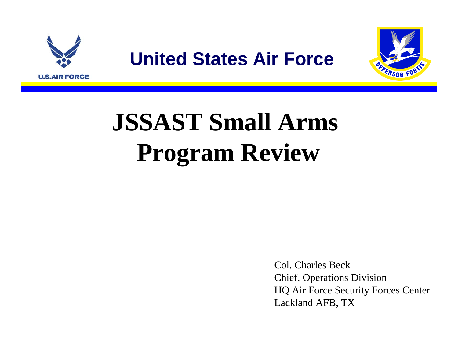



Col. Charles BeckChief, Operations Division HQ Air Force Security Forces Center Lackland AFB, TX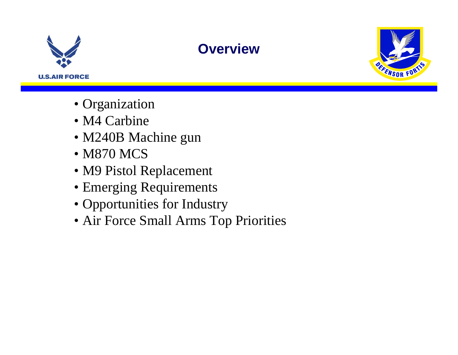

## **Overview**



- Organization
- M4 Carbine
- M240B Machine gun
- M870 MCS
- M9 Pistol Replacement
- Emerging Requirements
- Opportunities for Industry
- Air Force Small Arms Top Priorities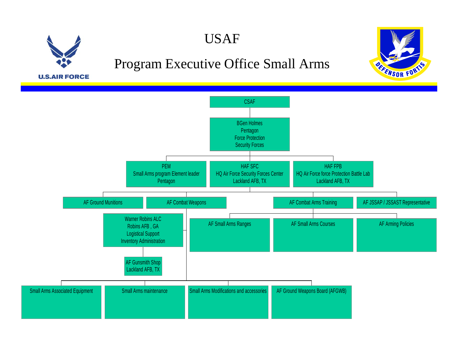

### USAF

### Program Executive Office Small Arms



**U.S.AIR FORCE** 

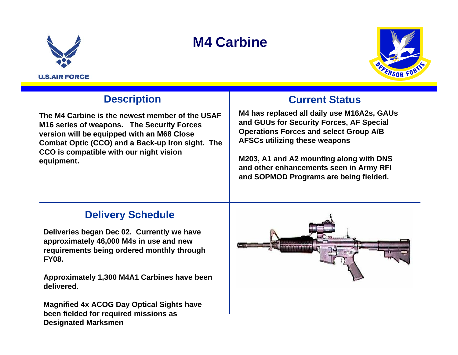

# **M4 Carbine**



### **Description**

**The M4 Carbine is the newest member of the USAF M16 series of weapons. The Security Forces version will be equipped with an M68 Close Combat Optic (CCO) and a Back-up Iron sight. The CCO is compatible with our night vision equipment.** 

#### **Current Status**

**M4 has replaced all daily use M16A2s, GAUs and GUUs for Security Forces, AF Special Operations Forces and select Group A/B AFSCs utilizing these weapons**

**M203, A1 and A2 mounting along with DNS and other enhancements seen in Army RFI and SOPMOD Programs are being fielded.**

### **Delivery Schedule**

**Deliveries began Dec 02. Currently we have approximately 46,000 M4s in use and new requirements being ordered monthly through FY08.**

**Approximately 1,300 M4A1 Carbines have been delivered.**

**Magnified 4x ACOG Day Optical Sights have been fielded for required missions as Designated Marksmen**

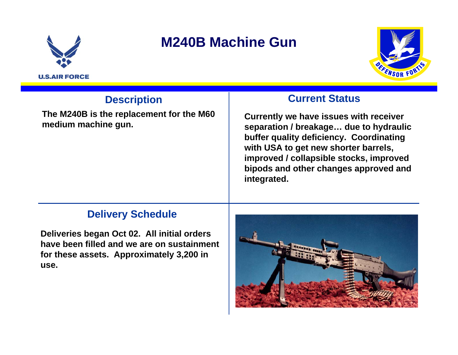

## **M240B Machine Gun**



### **Description**

**The M240B is the replacement for the M60** 

#### **Current Status**

**i** he M240B is the replacement for the M60 Currently we have issues with receiver medium machine gun. **buffer quality deficiency. Coordinating with USA to get new shorter barrels, improved / collapsible stocks, improved bipods and other changes approved and integrated.**

#### **Delivery Schedule**

**Deliveries began Oct 02. All initial orders have been filled and we are on sustainment for these assets. Approximately 3,200 in use.**

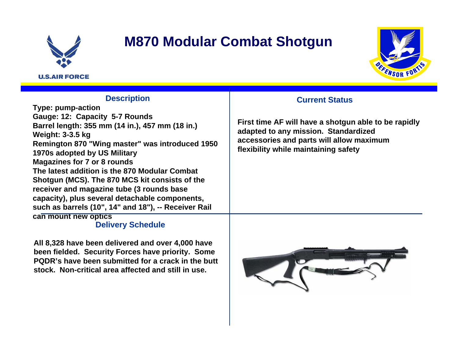

## **M870 Modular Combat Shotgun**



#### **Description**

**Type: pump-action Gauge: 12: Capacity 5-7 Rounds Barrel length: 355 mm (14 in.), 457 mm (18 in.) Weight: 3-3.5 kg Remington 870 "Wing master" was introduced 1950 1970s adopted by US Military Magazines for 7 or 8 rounds The latest addition is the 870 Modular Combat Shotgun (MCS). The 870 MCS kit consists of the receiver and magazine tube (3 rounds base capacity), plus several detachable components, such as barrels (10", 14" and 18"), -- Receiver Rail can mount new optics**

#### **Delivery Schedule**

**All 8,328 have been delivered and over 4,000 have been fielded. Security Forces have priority. Some PQDR's have been submitted for a crack in the butt stock. Non-critical area affected and still in use.**

#### **Current Status**

**First time AF will have a shotgun able to be rapidly adapted to any mission. Standardized accessories and parts will allow maximum flexibility while maintaining safety**

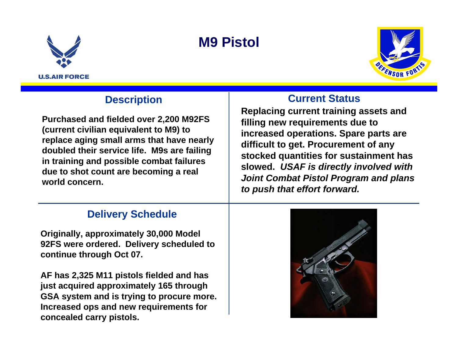





### **Description**

**Purchased and fielded over 2,200 M92FS (current civilian equivalent to M9) to replace aging small arms that have nearly doubled their service life. M9s are failing in training and possible combat failures due to shot count are becoming a real world concern.** 

### **Delivery Schedule**

**Originally, approximately 30,000 Model 92FS were ordered. Delivery scheduled to continue through Oct 07.**

**AF has 2,325 M11 pistols fielded and has just acquired approximately 165 through GSA system and is trying to procure more. Increased ops and new requirements for concealed carry pistols.**

#### **Current Status**

**Replacing current training assets and filling new requirements due to increased operations. Spare parts are difficult to get. Procurement of any stocked quantities for sustainment has slowed.** *USAF is directly involved with Joint Combat Pistol Program and plans to push that effort forward.*

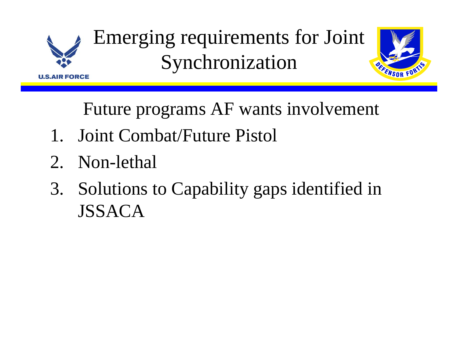

Emerging requirements for Joint Synchronization



Future programs AF wants involvement

- 1. Joint Combat/Future Pistol
- 2. Non-lethal
- 3. Solutions to Capability gaps identified in JSSACA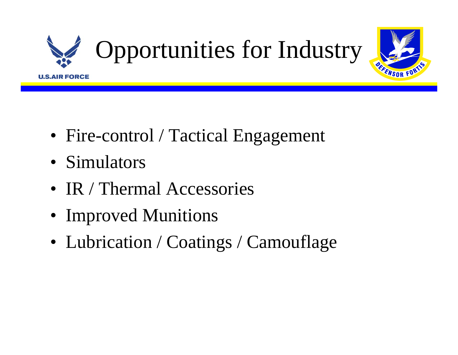

- Fire-control / Tactical Engagement
- Simulators
- IR / Thermal Accessories
- Improved Munitions
- Lubrication / Coatings / Camouflage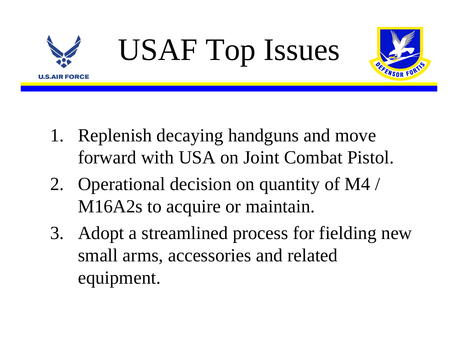



- 1. Replenish decaying handguns and move forward with USA on Joint Combat Pistol.
- 2. Operational decision on quantity of M4 / M16A2s to acquire or maintain.
- 3. Adopt a streamlined process for fielding new small arms, accessories and related equipment.